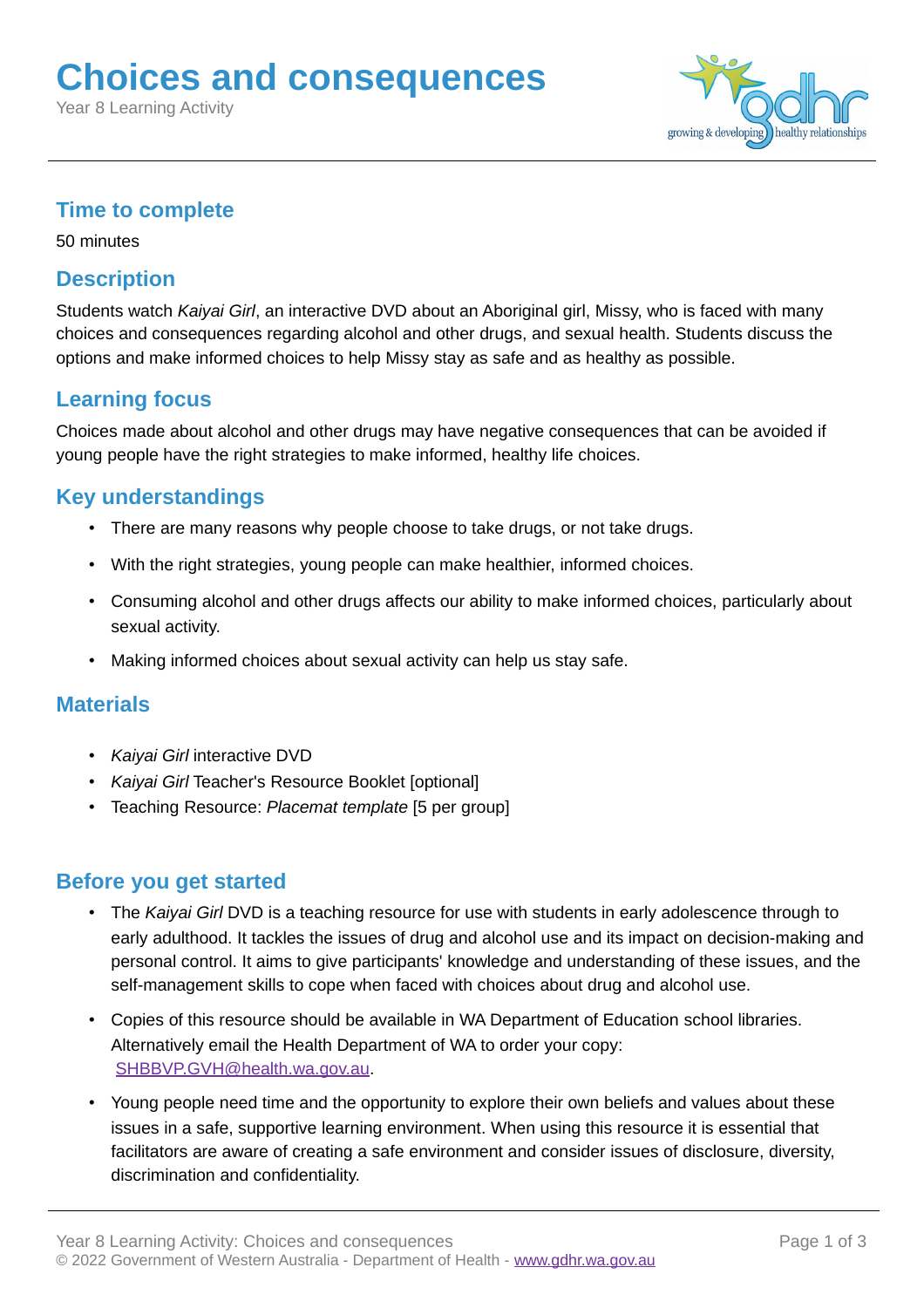# **Choices and consequences**

Year 8 Learning Activity



# **Time to complete**

50 minutes

# **Description**

Students watch *Kaiyai Girl*, an interactive DVD about an Aboriginal girl, Missy, who is faced with many choices and consequences regarding alcohol and other drugs, and sexual health. Students discuss the options and make informed choices to help Missy stay as safe and as healthy as possible.

# **Learning focus**

Choices made about alcohol and other drugs may have negative consequences that can be avoided if young people have the right strategies to make informed, healthy life choices.

# **Key understandings**

- There are many reasons why people choose to take drugs, or not take drugs.
- With the right strategies, young people can make healthier, informed choices.
- Consuming alcohol and other drugs affects our ability to make informed choices, particularly about sexual activity.
- Making informed choices about sexual activity can help us stay safe.

# **Materials**

- *Kaiyai Girl* interactive DVD
- *Kaiyai Girl* Teacher's Resource Booklet [optional]
- Teaching Resource: *Placemat template* [5 per group]

# **Before you get started**

- The *Kaiyai Girl* DVD is a teaching resource for use with students in early adolescence through to early adulthood. It tackles the issues of drug and alcohol use and its impact on decision-making and personal control. It aims to give participants' knowledge and understanding of these issues, and the self-management skills to cope when faced with choices about drug and alcohol use.
- Copies of this resource should be available in WA Department of Education school libraries. Alternatively email the Health Department of WA to order your copy: [SHBBVP.GVH@health.wa.gov.au.](mailto:SHBBVP.GVH@health.wa.gov.au?subject=Order%20request%20for%20Kaiyai%20Girl%20resource)
- Young people need time and the opportunity to explore their own beliefs and values about these issues in a safe, supportive learning environment. When using this resource it is essential that facilitators are aware of creating a safe environment and consider issues of disclosure, diversity, discrimination and confidentiality.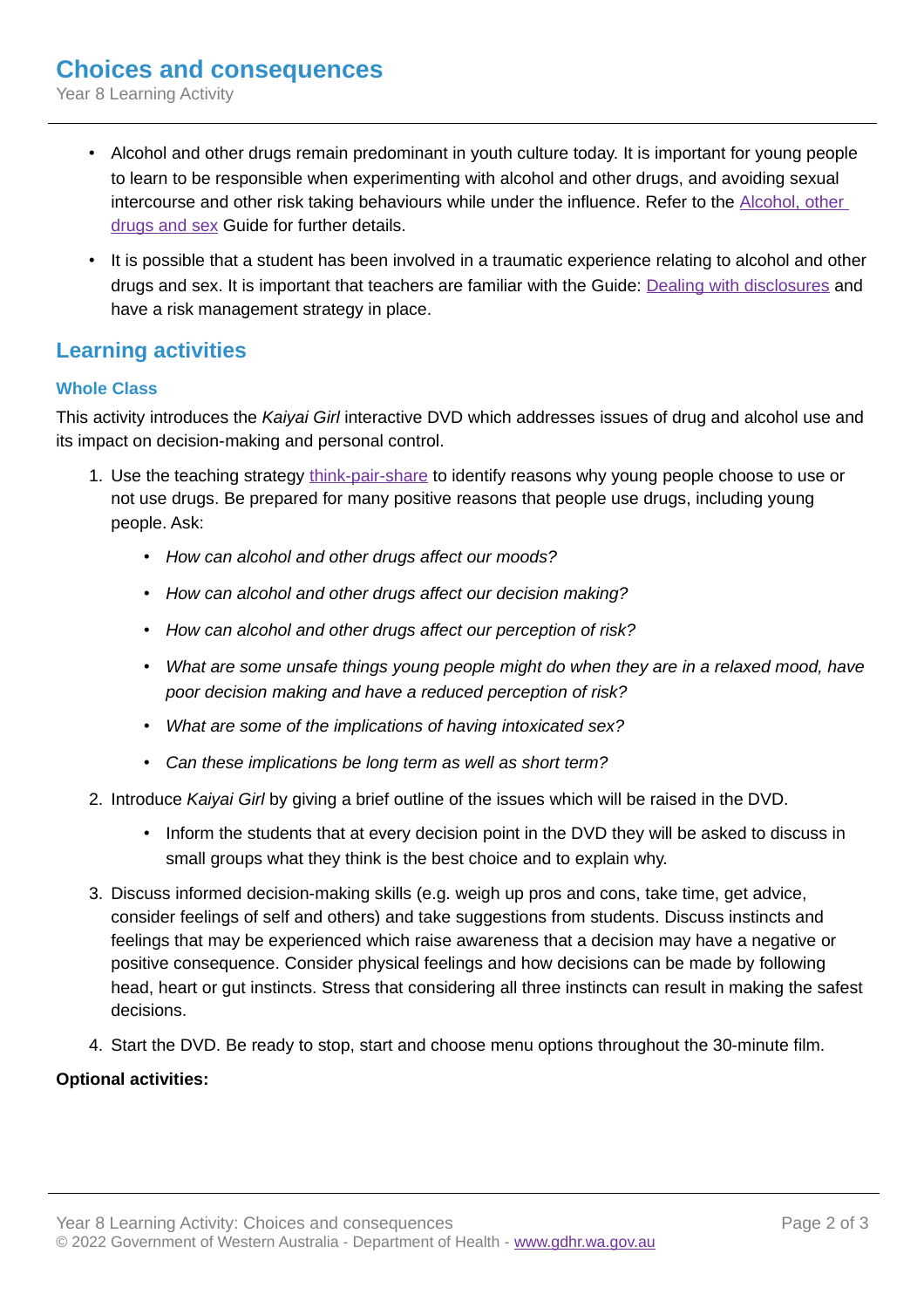Year 8 Learning Activity

- Alcohol and other drugs remain predominant in youth culture today. It is important for young people to learn to be responsible when experimenting with alcohol and other drugs, and avoiding sexual intercourse and other risk taking behaviours while under the influence. Refer to the [Alcohol, other](http://gdhr.wa.gov.au/-/alcohol-other-drugs-and-sex)  [drugs and sex](http://gdhr.wa.gov.au/-/alcohol-other-drugs-and-sex) Guide for further details.
- It is possible that a student has been involved in a traumatic experience relating to alcohol and other drugs and sex. It is important that teachers are familiar with the Guide: [Dealing with disclosures](http://gdhr.wa.gov.au/guides/what-to-teach/dealing-with-disclosures) and have a risk management strategy in place.

# **Learning activities**

## **Whole Class**

This activity introduces the *Kaiyai Girl* interactive DVD which addresses issues of drug and alcohol use and its impact on decision-making and personal control.

- 1. Use the teaching strategy [think-pair-share](http://gdhr.wa.gov.au/learning/teaching-strategies/speaking-out/think-pair-share) to identify reasons why young people choose to use or not use drugs. Be prepared for many positive reasons that people use drugs, including young people. Ask:
	- *How can alcohol and other drugs affect our moods?*
	- *How can alcohol and other drugs affect our decision making?*
	- *How can alcohol and other drugs affect our perception of risk?*
	- *What are some unsafe things young people might do when they are in a relaxed mood, have poor decision making and have a reduced perception of risk?*
	- *What are some of the implications of having intoxicated sex?*
	- *Can these implications be long term as well as short term?*
- 2. Introduce *Kaiyai Girl* by giving a brief outline of the issues which will be raised in the DVD.
	- Inform the students that at every decision point in the DVD they will be asked to discuss in small groups what they think is the best choice and to explain why.
- 3. Discuss informed decision-making skills (e.g. weigh up pros and cons, take time, get advice, consider feelings of self and others) and take suggestions from students. Discuss instincts and feelings that may be experienced which raise awareness that a decision may have a negative or positive consequence. Consider physical feelings and how decisions can be made by following head, heart or gut instincts. Stress that considering all three instincts can result in making the safest decisions.
- 4. Start the DVD. Be ready to stop, start and choose menu options throughout the 30-minute film.

### **Optional activities:**